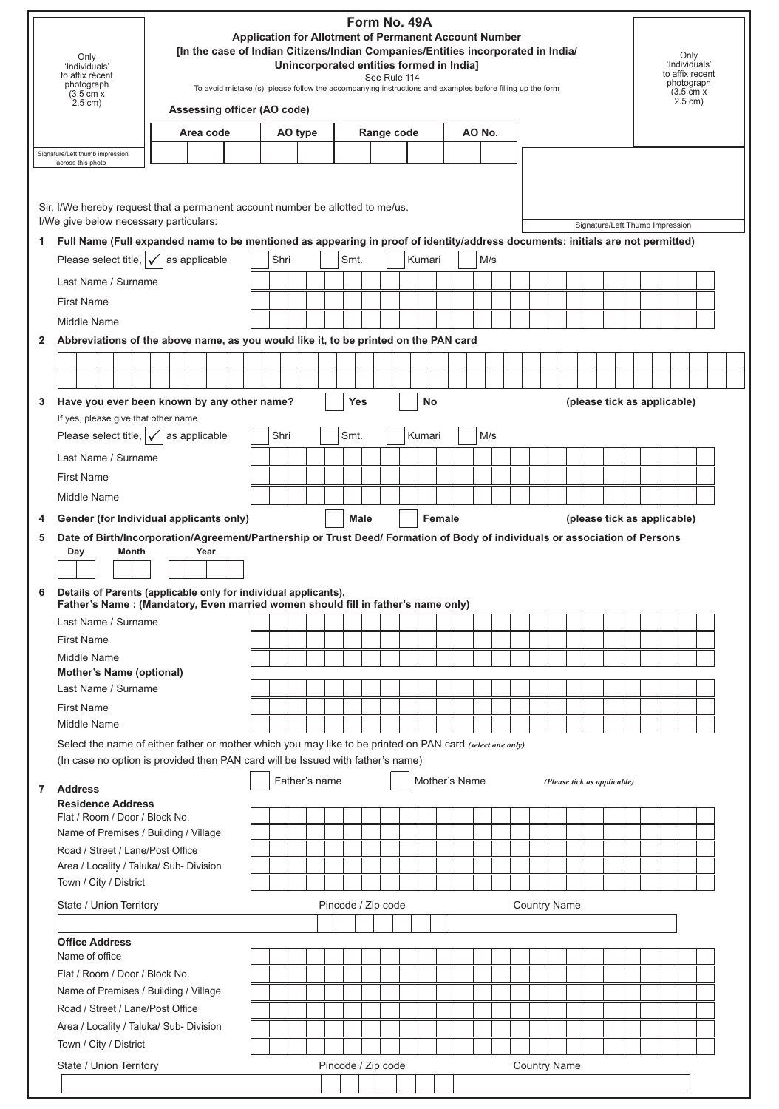| Only<br>'Individuals'<br>to affix récent<br>photograph<br>$(3.5 \text{ cm}^2)$<br>$2.5$ cm)<br>Signature/Left thumb impression<br>across this photo<br>Sir, I/We hereby request that a permanent account number be allotted to me/us.<br>I/We give below necessary particulars:<br>Full Name (Full expanded name to be mentioned as appearing in proof of identity/address documents: initials are not permitted)<br>1 |                                                                                                                                                                                                                                                                                                            |                                                                                                  | [In the case of Indian Citizens/Indian Companies/Entities incorporated in India/<br>To avoid mistake (s), please follow the accompanying instructions and examples before filling up the form<br>Assessing officer (AO code)<br>Area code |  |      |  | AO type | Unincorporated entities formed in India] |  |      |  | Form No. 49A<br>See Rule 114<br>Range code |                     |     |  |     | <b>Application for Allotment of Permanent Account Number</b><br>AO No. |  |  |                             |  |  |  |  |  |  |  | Only<br>'Individuals'<br>to affix recent<br>photograph<br>$(3.5 \text{ cm} x)$<br>$2.5$ cm)<br>Signature/Left Thumb Impression |  |  |  |  |
|------------------------------------------------------------------------------------------------------------------------------------------------------------------------------------------------------------------------------------------------------------------------------------------------------------------------------------------------------------------------------------------------------------------------|------------------------------------------------------------------------------------------------------------------------------------------------------------------------------------------------------------------------------------------------------------------------------------------------------------|--------------------------------------------------------------------------------------------------|-------------------------------------------------------------------------------------------------------------------------------------------------------------------------------------------------------------------------------------------|--|------|--|---------|------------------------------------------|--|------|--|--------------------------------------------|---------------------|-----|--|-----|------------------------------------------------------------------------|--|--|-----------------------------|--|--|--|--|--|--|--|--------------------------------------------------------------------------------------------------------------------------------|--|--|--|--|
|                                                                                                                                                                                                                                                                                                                                                                                                                        | Please select title, $\sqrt{\ }$ as applicable                                                                                                                                                                                                                                                             |                                                                                                  |                                                                                                                                                                                                                                           |  | Shri |  |         | Smt.<br>Kumari                           |  |      |  |                                            |                     | M/s |  |     |                                                                        |  |  |                             |  |  |  |  |  |  |  |                                                                                                                                |  |  |  |  |
|                                                                                                                                                                                                                                                                                                                                                                                                                        | Last Name / Surname                                                                                                                                                                                                                                                                                        |                                                                                                  |                                                                                                                                                                                                                                           |  |      |  |         |                                          |  |      |  |                                            |                     |     |  |     |                                                                        |  |  |                             |  |  |  |  |  |  |  |                                                                                                                                |  |  |  |  |
|                                                                                                                                                                                                                                                                                                                                                                                                                        | <b>First Name</b>                                                                                                                                                                                                                                                                                          |                                                                                                  |                                                                                                                                                                                                                                           |  |      |  |         |                                          |  |      |  |                                            |                     |     |  |     |                                                                        |  |  |                             |  |  |  |  |  |  |  |                                                                                                                                |  |  |  |  |
|                                                                                                                                                                                                                                                                                                                                                                                                                        | Middle Name                                                                                                                                                                                                                                                                                                |                                                                                                  |                                                                                                                                                                                                                                           |  |      |  |         |                                          |  |      |  |                                            |                     |     |  |     |                                                                        |  |  |                             |  |  |  |  |  |  |  |                                                                                                                                |  |  |  |  |
| Abbreviations of the above name, as you would like it, to be printed on the PAN card<br>$\mathbf{2}$                                                                                                                                                                                                                                                                                                                   |                                                                                                                                                                                                                                                                                                            |                                                                                                  |                                                                                                                                                                                                                                           |  |      |  |         |                                          |  |      |  |                                            |                     |     |  |     |                                                                        |  |  |                             |  |  |  |  |  |  |  |                                                                                                                                |  |  |  |  |
|                                                                                                                                                                                                                                                                                                                                                                                                                        |                                                                                                                                                                                                                                                                                                            |                                                                                                  |                                                                                                                                                                                                                                           |  |      |  |         |                                          |  |      |  |                                            |                     |     |  |     |                                                                        |  |  |                             |  |  |  |  |  |  |  |                                                                                                                                |  |  |  |  |
|                                                                                                                                                                                                                                                                                                                                                                                                                        |                                                                                                                                                                                                                                                                                                            |                                                                                                  |                                                                                                                                                                                                                                           |  |      |  |         |                                          |  |      |  |                                            |                     |     |  |     |                                                                        |  |  |                             |  |  |  |  |  |  |  |                                                                                                                                |  |  |  |  |
| 3                                                                                                                                                                                                                                                                                                                                                                                                                      |                                                                                                                                                                                                                                                                                                            |                                                                                                  | Have you ever been known by any other name?                                                                                                                                                                                               |  |      |  |         |                                          |  | Yes  |  |                                            | No                  |     |  |     |                                                                        |  |  | (please tick as applicable) |  |  |  |  |  |  |  |                                                                                                                                |  |  |  |  |
|                                                                                                                                                                                                                                                                                                                                                                                                                        |                                                                                                                                                                                                                                                                                                            | If yes, please give that other name<br>Please select title, $\sqrt{\vert x \vert}$ as applicable |                                                                                                                                                                                                                                           |  |      |  | Shri    |                                          |  | Smt. |  |                                            | Kumari              |     |  | M/s |                                                                        |  |  |                             |  |  |  |  |  |  |  |                                                                                                                                |  |  |  |  |
|                                                                                                                                                                                                                                                                                                                                                                                                                        | Last Name / Surname                                                                                                                                                                                                                                                                                        |                                                                                                  |                                                                                                                                                                                                                                           |  |      |  |         |                                          |  |      |  |                                            |                     |     |  |     |                                                                        |  |  |                             |  |  |  |  |  |  |  |                                                                                                                                |  |  |  |  |
|                                                                                                                                                                                                                                                                                                                                                                                                                        | <b>First Name</b>                                                                                                                                                                                                                                                                                          |                                                                                                  |                                                                                                                                                                                                                                           |  |      |  |         |                                          |  |      |  |                                            |                     |     |  |     |                                                                        |  |  |                             |  |  |  |  |  |  |  |                                                                                                                                |  |  |  |  |
|                                                                                                                                                                                                                                                                                                                                                                                                                        | Middle Name                                                                                                                                                                                                                                                                                                |                                                                                                  |                                                                                                                                                                                                                                           |  |      |  |         |                                          |  |      |  |                                            |                     |     |  |     |                                                                        |  |  |                             |  |  |  |  |  |  |  |                                                                                                                                |  |  |  |  |
| 4                                                                                                                                                                                                                                                                                                                                                                                                                      | Gender (for Individual applicants only)<br><b>Male</b><br>Female<br>(please tick as applicable)                                                                                                                                                                                                            |                                                                                                  |                                                                                                                                                                                                                                           |  |      |  |         |                                          |  |      |  |                                            |                     |     |  |     |                                                                        |  |  |                             |  |  |  |  |  |  |  |                                                                                                                                |  |  |  |  |
| 5<br>6                                                                                                                                                                                                                                                                                                                                                                                                                 | Date of Birth/Incorporation/Agreement/Partnership or Trust Deed/ Formation of Body of individuals or association of Persons<br>Day<br>Month<br>Year<br>Details of Parents (applicable only for individual applicants),<br>Father's Name: (Mandatory, Even married women should fill in father's name only) |                                                                                                  |                                                                                                                                                                                                                                           |  |      |  |         |                                          |  |      |  |                                            |                     |     |  |     |                                                                        |  |  |                             |  |  |  |  |  |  |  |                                                                                                                                |  |  |  |  |
|                                                                                                                                                                                                                                                                                                                                                                                                                        | Last Name / Surname                                                                                                                                                                                                                                                                                        |                                                                                                  |                                                                                                                                                                                                                                           |  |      |  |         |                                          |  |      |  |                                            |                     |     |  |     |                                                                        |  |  |                             |  |  |  |  |  |  |  |                                                                                                                                |  |  |  |  |
|                                                                                                                                                                                                                                                                                                                                                                                                                        | <b>First Name</b><br>Middle Name                                                                                                                                                                                                                                                                           |                                                                                                  |                                                                                                                                                                                                                                           |  |      |  |         |                                          |  |      |  |                                            |                     |     |  |     |                                                                        |  |  |                             |  |  |  |  |  |  |  |                                                                                                                                |  |  |  |  |
|                                                                                                                                                                                                                                                                                                                                                                                                                        | <b>Mother's Name (optional)</b><br>Last Name / Surname                                                                                                                                                                                                                                                     |                                                                                                  |                                                                                                                                                                                                                                           |  |      |  |         |                                          |  |      |  |                                            |                     |     |  |     |                                                                        |  |  |                             |  |  |  |  |  |  |  |                                                                                                                                |  |  |  |  |
|                                                                                                                                                                                                                                                                                                                                                                                                                        | <b>First Name</b>                                                                                                                                                                                                                                                                                          |                                                                                                  |                                                                                                                                                                                                                                           |  |      |  |         |                                          |  |      |  |                                            |                     |     |  |     |                                                                        |  |  |                             |  |  |  |  |  |  |  |                                                                                                                                |  |  |  |  |
|                                                                                                                                                                                                                                                                                                                                                                                                                        | Middle Name                                                                                                                                                                                                                                                                                                |                                                                                                  |                                                                                                                                                                                                                                           |  |      |  |         |                                          |  |      |  |                                            |                     |     |  |     |                                                                        |  |  |                             |  |  |  |  |  |  |  |                                                                                                                                |  |  |  |  |
| $\overline{7}$                                                                                                                                                                                                                                                                                                                                                                                                         | Select the name of either father or mother which you may like to be printed on PAN card (select one only)<br>(In case no option is provided then PAN card will be Issued with father's name)<br>Father's name<br>Mother's Name<br>(Please tick as applicable)<br><b>Address</b>                            |                                                                                                  |                                                                                                                                                                                                                                           |  |      |  |         |                                          |  |      |  |                                            |                     |     |  |     |                                                                        |  |  |                             |  |  |  |  |  |  |  |                                                                                                                                |  |  |  |  |
|                                                                                                                                                                                                                                                                                                                                                                                                                        | <b>Residence Address</b>                                                                                                                                                                                                                                                                                   |                                                                                                  |                                                                                                                                                                                                                                           |  |      |  |         |                                          |  |      |  |                                            |                     |     |  |     |                                                                        |  |  |                             |  |  |  |  |  |  |  |                                                                                                                                |  |  |  |  |
|                                                                                                                                                                                                                                                                                                                                                                                                                        | Flat / Room / Door / Block No.<br>Name of Premises / Building / Village                                                                                                                                                                                                                                    |                                                                                                  |                                                                                                                                                                                                                                           |  |      |  |         |                                          |  |      |  |                                            |                     |     |  |     |                                                                        |  |  |                             |  |  |  |  |  |  |  |                                                                                                                                |  |  |  |  |
|                                                                                                                                                                                                                                                                                                                                                                                                                        | Road / Street / Lane/Post Office                                                                                                                                                                                                                                                                           |                                                                                                  |                                                                                                                                                                                                                                           |  |      |  |         |                                          |  |      |  |                                            |                     |     |  |     |                                                                        |  |  |                             |  |  |  |  |  |  |  |                                                                                                                                |  |  |  |  |
|                                                                                                                                                                                                                                                                                                                                                                                                                        | Area / Locality / Taluka/ Sub- Division                                                                                                                                                                                                                                                                    |                                                                                                  |                                                                                                                                                                                                                                           |  |      |  |         |                                          |  |      |  |                                            |                     |     |  |     |                                                                        |  |  |                             |  |  |  |  |  |  |  |                                                                                                                                |  |  |  |  |
|                                                                                                                                                                                                                                                                                                                                                                                                                        | Town / City / District                                                                                                                                                                                                                                                                                     |                                                                                                  |                                                                                                                                                                                                                                           |  |      |  |         |                                          |  |      |  |                                            |                     |     |  |     |                                                                        |  |  |                             |  |  |  |  |  |  |  |                                                                                                                                |  |  |  |  |
|                                                                                                                                                                                                                                                                                                                                                                                                                        | State / Union Territory                                                                                                                                                                                                                                                                                    |                                                                                                  |                                                                                                                                                                                                                                           |  |      |  |         |                                          |  |      |  | Pincode / Zip code                         |                     |     |  |     |                                                                        |  |  | <b>Country Name</b>         |  |  |  |  |  |  |  |                                                                                                                                |  |  |  |  |
|                                                                                                                                                                                                                                                                                                                                                                                                                        |                                                                                                                                                                                                                                                                                                            |                                                                                                  |                                                                                                                                                                                                                                           |  |      |  |         |                                          |  |      |  |                                            |                     |     |  |     |                                                                        |  |  |                             |  |  |  |  |  |  |  |                                                                                                                                |  |  |  |  |
|                                                                                                                                                                                                                                                                                                                                                                                                                        | <b>Office Address</b><br>Name of office                                                                                                                                                                                                                                                                    |                                                                                                  |                                                                                                                                                                                                                                           |  |      |  |         |                                          |  |      |  |                                            |                     |     |  |     |                                                                        |  |  |                             |  |  |  |  |  |  |  |                                                                                                                                |  |  |  |  |
|                                                                                                                                                                                                                                                                                                                                                                                                                        | Flat / Room / Door / Block No.                                                                                                                                                                                                                                                                             |                                                                                                  |                                                                                                                                                                                                                                           |  |      |  |         |                                          |  |      |  |                                            |                     |     |  |     |                                                                        |  |  |                             |  |  |  |  |  |  |  |                                                                                                                                |  |  |  |  |
|                                                                                                                                                                                                                                                                                                                                                                                                                        | Name of Premises / Building / Village                                                                                                                                                                                                                                                                      |                                                                                                  |                                                                                                                                                                                                                                           |  |      |  |         |                                          |  |      |  |                                            |                     |     |  |     |                                                                        |  |  |                             |  |  |  |  |  |  |  |                                                                                                                                |  |  |  |  |
|                                                                                                                                                                                                                                                                                                                                                                                                                        | Road / Street / Lane/Post Office                                                                                                                                                                                                                                                                           |                                                                                                  |                                                                                                                                                                                                                                           |  |      |  |         |                                          |  |      |  |                                            |                     |     |  |     |                                                                        |  |  |                             |  |  |  |  |  |  |  |                                                                                                                                |  |  |  |  |
|                                                                                                                                                                                                                                                                                                                                                                                                                        | Area / Locality / Taluka/ Sub- Division<br>Town / City / District                                                                                                                                                                                                                                          |                                                                                                  |                                                                                                                                                                                                                                           |  |      |  |         |                                          |  |      |  |                                            |                     |     |  |     |                                                                        |  |  |                             |  |  |  |  |  |  |  |                                                                                                                                |  |  |  |  |
|                                                                                                                                                                                                                                                                                                                                                                                                                        |                                                                                                                                                                                                                                                                                                            |                                                                                                  |                                                                                                                                                                                                                                           |  |      |  |         |                                          |  |      |  |                                            |                     |     |  |     |                                                                        |  |  |                             |  |  |  |  |  |  |  |                                                                                                                                |  |  |  |  |
|                                                                                                                                                                                                                                                                                                                                                                                                                        |                                                                                                                                                                                                                                                                                                            | Pincode / Zip code<br>State / Union Territory                                                    |                                                                                                                                                                                                                                           |  |      |  |         |                                          |  |      |  |                                            | <b>Country Name</b> |     |  |     |                                                                        |  |  |                             |  |  |  |  |  |  |  |                                                                                                                                |  |  |  |  |